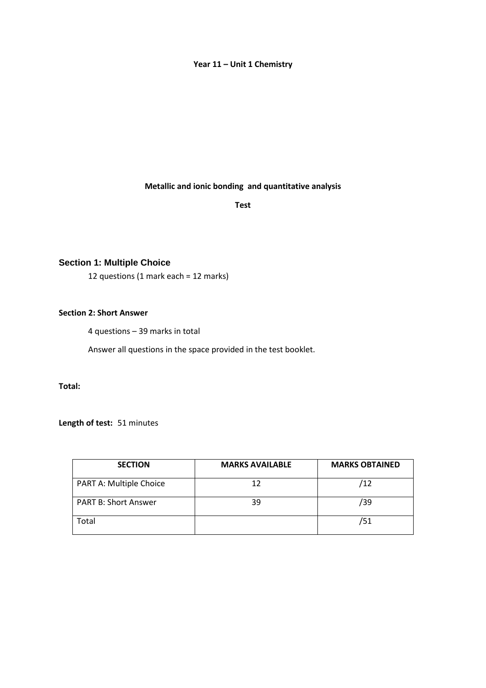### **Year 11 – Unit 1 Chemistry**

**Metallic and ionic bonding and quantitative analysis**

**Test**

**Section 1: Multiple Choice**

12 questions (1 mark each = 12 marks)

## **Section 2: Short Answer**

4 questions – 39 marks in total

Answer all questions in the space provided in the test booklet.

#### **Total:**

**Length of test:** 51 minutes

| <b>SECTION</b>                 | <b>MARKS AVAILABLE</b> | <b>MARKS OBTAINED</b> |
|--------------------------------|------------------------|-----------------------|
| <b>PART A: Multiple Choice</b> | 12                     | /12                   |
| <b>PART B: Short Answer</b>    | 39                     | /39                   |
| Total                          |                        | /51                   |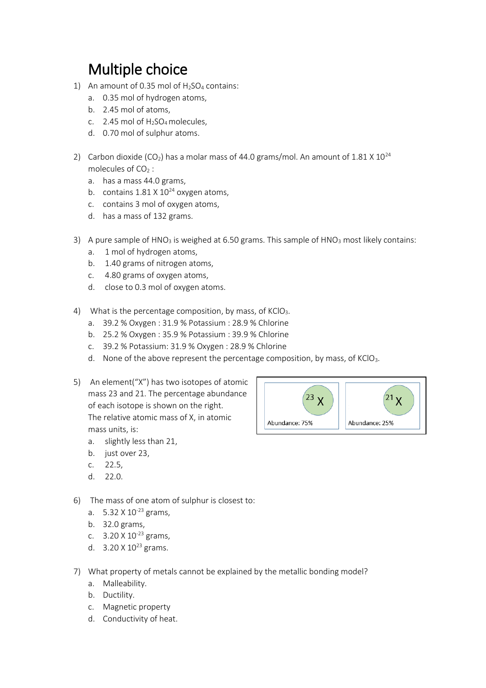# Multiple choice

- 1) An amount of 0.35 mol of  $H_2SO_4$  contains:
	- a. 0.35 mol of hydrogen atoms,
	- b. 2.45 mol of atoms,
	- c. 2.45 mol of  $H_2SO_4$  molecules,
	- d. 0.70 mol of sulphur atoms.
- 2) Carbon dioxide (CO<sub>2</sub>) has a molar mass of 44.0 grams/mol. An amount of 1.81 X  $10^{24}$ molecules of  $CO<sub>2</sub>$ :
	- a. has a mass 44.0 grams,
	- b. contains  $1.81 \times 10^{24}$  oxygen atoms,
	- c. contains 3 mol of oxygen atoms,
	- d. has a mass of 132 grams.
- 3) A pure sample of  $HNO<sub>3</sub>$  is weighed at 6.50 grams. This sample of  $HNO<sub>3</sub>$  most likely contains:
	- a. 1 mol of hydrogen atoms,
	- b. 1.40 grams of nitrogen atoms,
	- c. 4.80 grams of oxygen atoms,
	- d. close to 0.3 mol of oxygen atoms.
- 4) What is the percentage composition, by mass, of KClO<sub>3</sub>.
	- a. 39.2 % Oxygen : 31.9 % Potassium : 28.9 % Chlorine
	- b. 25.2 % Oxygen : 35.9 % Potassium : 39.9 % Chlorine
	- c. 39.2 % Potassium: 31.9 % Oxygen : 28.9 % Chlorine
	- d. None of the above represent the percentage composition, by mass, of KClO<sub>3</sub>.
- 5) An element("X") has two isotopes of atomic mass 23 and 21. The percentage abundance of each isotope is shown on the right. The relative atomic mass of X, in atomic mass units, is:
	- a. slightly less than 21,
	- b. just over 23,
	- c. 22.5,
	- d. 22.0.
- 6) The mass of one atom of sulphur is closest to:
	- a.  $5.32 \times 10^{-23}$  grams,
	- b. 32.0 grams,
	- c.  $3.20 \times 10^{-23}$  grams,
	- d.  $3.20 \times 10^{23}$  grams.
- 7) What property of metals cannot be explained by the metallic bonding model?
	- a. Malleability.
	- b. Ductility.
	- c. Magnetic property
	- d. Conductivity of heat.

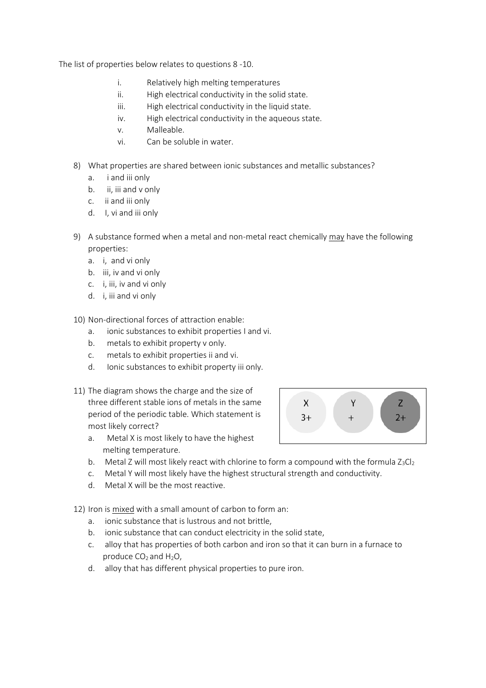The list of properties below relates to questions 8 -10.

- i. Relatively high melting temperatures
- ii. High electrical conductivity in the solid state.
- iii. High electrical conductivity in the liquid state.
- iv. High electrical conductivity in the aqueous state.
- v. Malleable.
- vi. Can be soluble in water.
- 8) What properties are shared between ionic substances and metallic substances?
	- a. i and iii only
	- b. ii, iii and v only
	- c. ii and iii only
	- d. I, vi and iii only
- 9) A substance formed when a metal and non-metal react chemically may have the following properties:
	- a. i, and vi only
	- b. iii, iv and vi only
	- c. i, iii, iv and vi only
	- d. i, iii and vi only

10) Non-directional forces of attraction enable:

- a. ionic substances to exhibit properties I and vi.
- b. metals to exhibit property v only.
- c. metals to exhibit properties ii and vi.
- d. Ionic substances to exhibit property iii only.
- 11) The diagram shows the charge and the size of three different stable ions of metals in the same period of the periodic table. Which statement is most likely correct?



- a. Metal X is most likely to have the highest melting temperature.
- b. Metal Z will most likely react with chlorine to form a compound with the formula  $Z_3C_2$
- c. Metal Y will most likely have the highest structural strength and conductivity.
- d. Metal X will be the most reactive.

12) Iron is mixed with a small amount of carbon to form an:

- a. ionic substance that is lustrous and not brittle,
- b. ionic substance that can conduct electricity in the solid state,
- c. alloy that has properties of both carbon and iron so that it can burn in a furnace to produce  $CO<sub>2</sub>$  and  $H<sub>2</sub>O$ ,
- d. alloy that has different physical properties to pure iron.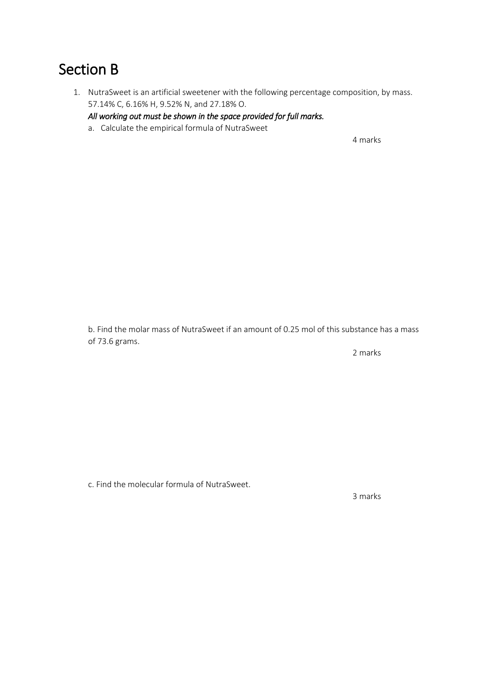# Section B

1. NutraSweet is an artificial sweetener with the following percentage composition, by mass. 57.14% C, 6.16% H, 9.52% N, and 27.18% O.

*All working out must be shown in the space provided for full marks.* 

a. Calculate the empirical formula of NutraSweet

4 marks

b. Find the molar mass of NutraSweet if an amount of 0.25 mol of this substance has a mass of 73.6 grams.

2 marks

c. Find the molecular formula of NutraSweet.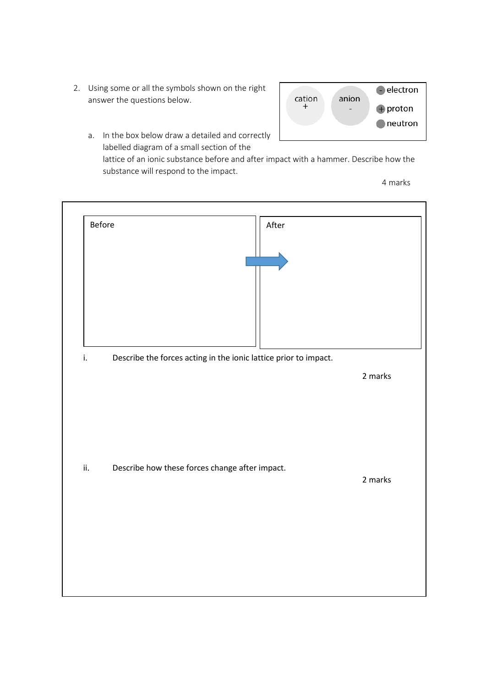2. Using some or all the symbols shown on the right answer the questions below.



a. In the box below draw a detailed and correctly labelled diagram of a small section of the lattice of an ionic substance before and after impact with a hammer. Describe how the substance will respond to the impact.

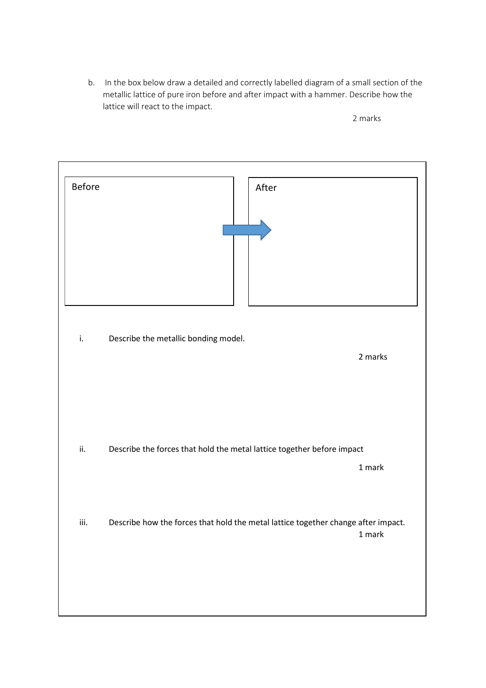b. In the box below draw a detailed and correctly labelled diagram of a small section of the metallic lattice of pure iron before and after impact with a hammer. Describe how the lattice will react to the impact.

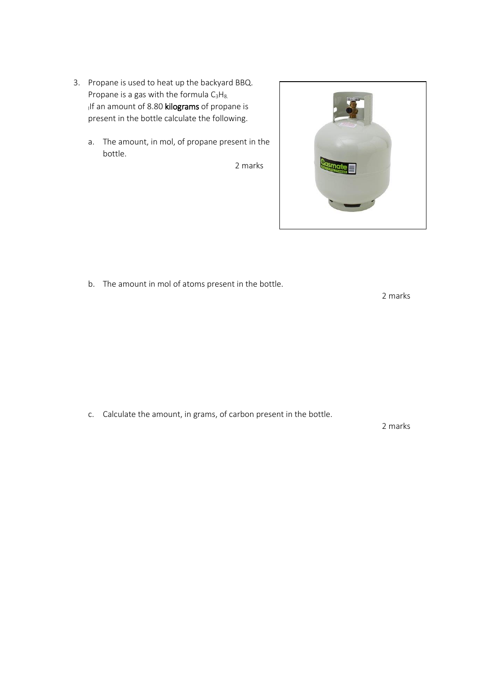- 3. Propane is used to heat up the backyard BBQ. Propane is a gas with the formula  $C_3H_{8.}$ If an amount of 8.80 kilograms of propane is present in the bottle calculate the following.
	- a. The amount, in mol, of propane present in the bottle.

2 marks



b. The amount in mol of atoms present in the bottle.

2 marks

c. Calculate the amount, in grams, of carbon present in the bottle.